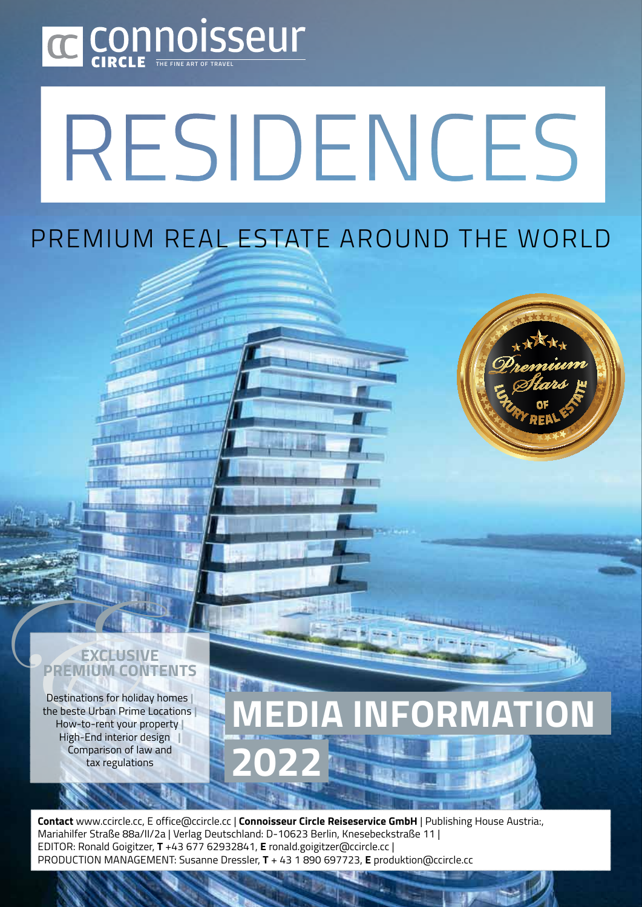

# RESIDENCES

#### PREMIUM DEAL ECTATE ADOUND TUE MODLE Premium Real Estate Around the World



#### **Exclusive Premium Contents**

Destinations for holiday homes **|**  the beste Urban Prime Locations **|**  How-to-rent your property **|**  High-End interior design **|**  Comparison of law and tax regulations

# **EDIA INFORMATION 2022**

**Contact** www.ccircle.cc, E office@ccircle.cc | **Connoisseur Circle Reiseservice GmbH** | Publishing House Austria:, Mariahilfer Straße 88a/II/2a | Verlag Deutschland: D-10623 Berlin, Knesebeckstraße 11 | Editor: Ronald Goigitzer, **T** +43 677 62932841, **E** ronald.goigitzer@ccircle.cc | Production Management: Susanne Dressler, **T** + 43 1 890 697723, **E** produktion@ccircle.cc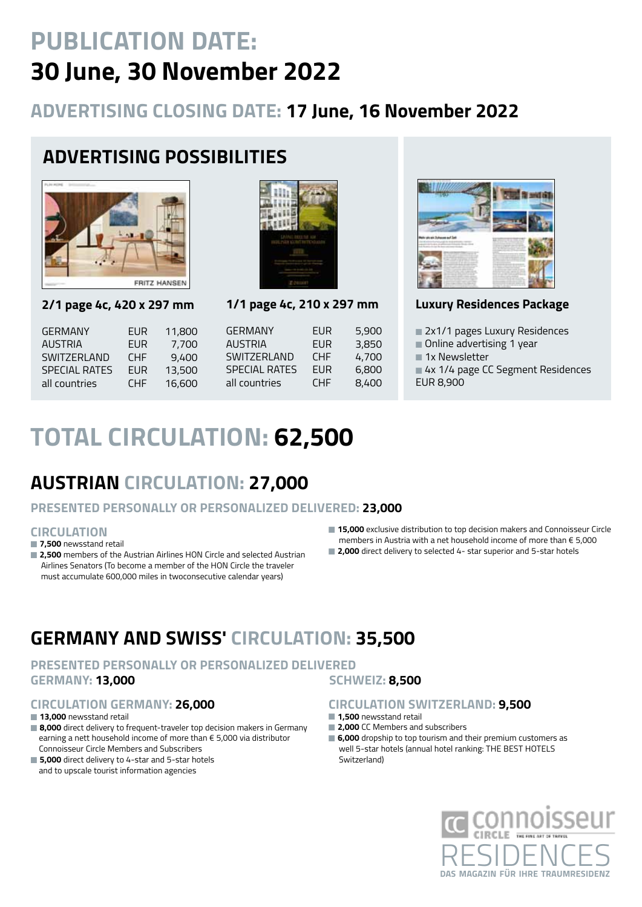# **PUBLICATION DATE: 30 June, 30 November 2022**

### **ADVERTISING CLOSING DATE: 17 June, 16 November 2022**

## **ADVERTISING POSSIBILITIES**



**2/1 page 4c, 420 x 297 mm**

GERMANY EUR 11,80 AUSTRIA EUR 7,70 SWITZERLAND CHF 9.40 SPECIAL RATES EUR 13,50 all countries CHF 16,60



**1/1 page 4c, 210 x 297 mm**

| )0 | <b>GERMANY</b>       | <b>EUR</b> | 5,900 |
|----|----------------------|------------|-------|
| )N | <b>AUSTRIA</b>       | <b>FUR</b> | 3,850 |
| )N | SWITZERI AND         | <b>CHF</b> | 4,700 |
| )N | <b>SPECIAL RATES</b> | <b>FUR</b> | 6,800 |
| )N | all countries        | <b>CHF</b> | 8,400 |
|    |                      |            |       |



#### **Luxury Residences Package**

■ 2x1/1 pages Luxury Residences

- Online advertising 1 year
- 1x Newsletter
- 4x 1/4 page CC Segment Residences
- EUR 8,900

# **TOTaL CIRCULATION: 62,500**

### **Austrian Circulation: 27,000**

#### **PRESENTED PERSONALLY OR PERSONALIZED DELIVERED: 23,000**

#### **Circulation**

#### ■ 7.500 newsstand retail

- **2,500** members of the Austrian Airlines HON Circle and selected Austrian Airlines Senators (To become a member of the HON Circle the traveler must accumulate 600,000 miles in twoconsecutive calendar years)
- 15,000 exclusive distribution to top decision makers and Connoisseur Circle members in Austria with a net household income of more than € 5,000
- **2,000** direct delivery to selected 4- star superior and 5-star hotels

### **Germany and SwiSS' Circulation: 35,500**

#### **PRESENTED PERSONALLY OR PERSONALIZED DELIVERED GERMANY: 13,000 Schweiz: 8,500**

#### **Circulation Germany: 26,000**

■ **13,000** newsstand retail

- 8,000 direct delivery to frequent-traveler top decision makers in Germany earning a nett household income of more than € 5,000 via distributor Connoisseur Circle Members and Subscribers
- **5,000** direct delivery to 4-star and 5-star hotels and to upscale tourist information agencies

#### **Circulation Switzerland: 9,500**

- **1,500** newsstand retail
- **2,000** CC Members and subscribers
- **6,000** dropship to top tourism and their premium customers as well 5-star hotels (annual hotel ranking: THE BEST HOTELS Switzerland)

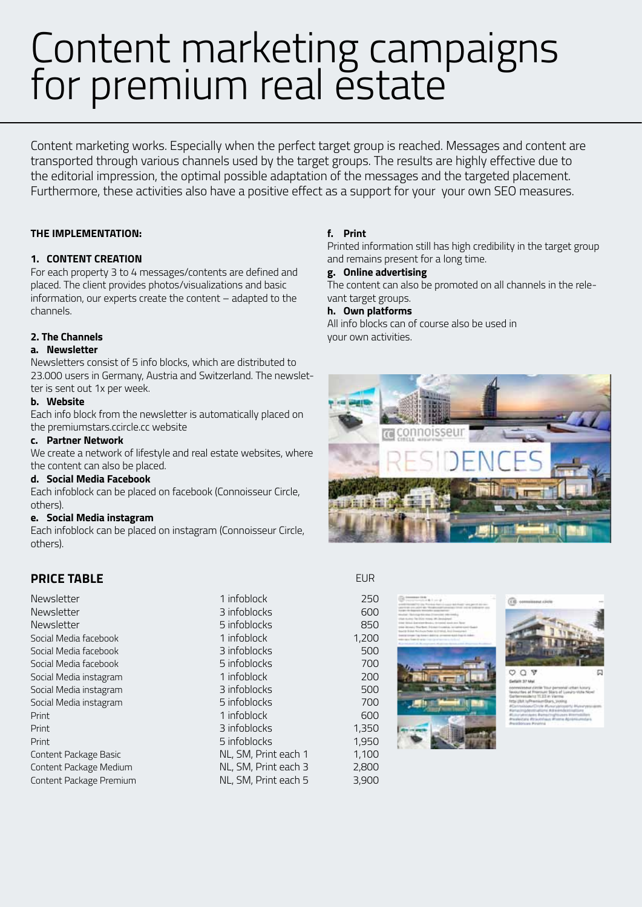# Content marketing campaigns for premium real estate

Content marketing works. Especially when the perfect target group is reached. Messages and content are transported through various channels used by the target groups. The results are highly effective due to the editorial impression, the optimal possible adaptation of the messages and the targeted placement. Furthermore, these activities also have a positive effect as a support for your your own SEO measures.

#### **The implementation:**

#### **1. Content Creation**

For each property 3 to 4 messages/contents are defined and placed. The client provides photos/visualizations and basic information, our experts create the content – adapted to the channels.

#### **2. The Channels**

#### **a. Newsletter**

Newsletters consist of 5 info blocks, which are distributed to 23.000 users in Germany, Austria and Switzerland. The newsletter is sent out 1x per week.

#### **b. Website**

Each info block from the newsletter is automatically placed on the premiumstars.ccircle.cc website

#### **c. Partner Network**

We create a network of lifestyle and real estate websites, where the content can also be placed.

#### **d. Social Media Facebook**

Each infoblock can be placed on facebook (Connoisseur Circle, others).

#### **e. Social Media instagram**

Each infoblock can be placed on instagram (Connoisseur Circle, others).

#### **price table**

Newsletter

#### Newsletter Newsletter Social Media facebook Social Media facebook Social Media facebook Social Media instagram Social Media instagram Social Media instagram Print Print Print Content Package Basic Content Package Medium Content Package Premium

1 infoblock 3 infoblocks 5 infoblocks 1 infoblock 3 infoblocks 5 infoblocks 1 infoblock 3 infoblocks 5 infoblocks 1 infoblock 3 infoblocks 5 infoblocks NL, SM, Print each 1 NL, SM, Print each 3 NL, SM, Print each 5

#### **f. Print**

Printed information still has high credibility in the target group and remains present for a long time.

#### **g. Online advertising**

The content can also be promoted on all channels in the relevant target groups.

#### **h. Own platforms**

All info blocks can of course also be used in your own activities.



#### EUR

250  $600$ 850 1,200 500 700 200 500 700 600 1,350 1,950 1,100 2,800 3,900





COT